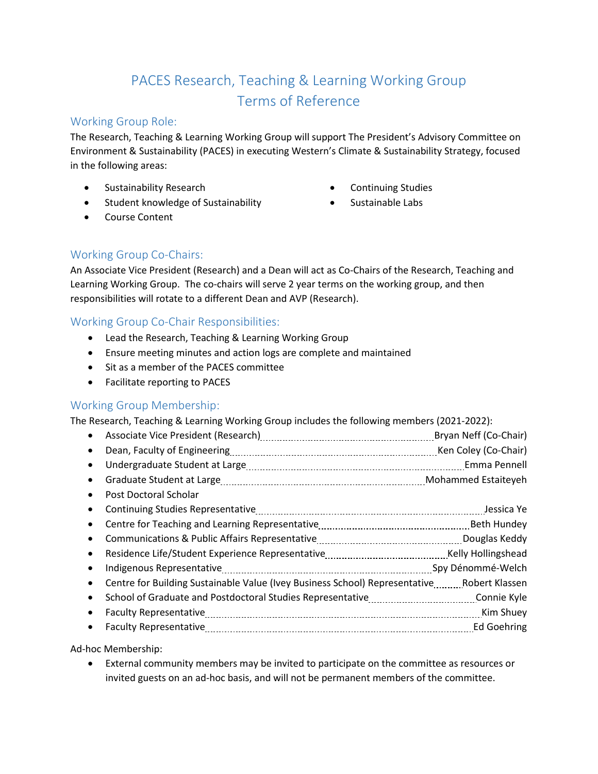# PACES Research, Teaching & Learning Working Group Terms of Reference

## Working Group Role:

The Research, Teaching & Learning Working Group will support The President's Advisory Committee on Environment & Sustainability (PACES) in executing Western's Climate & Sustainability Strategy, focused in the following areas:

- Sustainability Research
- Student knowledge of Sustainability
- Course Content
- Continuing Studies
- Sustainable Labs

### Working Group Co-Chairs:

An Associate Vice President (Research) and a Dean will act as Co-Chairs of the Research, Teaching and Learning Working Group. The co-chairs will serve 2 year terms on the working group, and then responsibilities will rotate to a different Dean and AVP (Research).

## Working Group Co-Chair Responsibilities:

- Lead the Research, Teaching & Learning Working Group
- Ensure meeting minutes and action logs are complete and maintained
- Sit as a member of the PACES committee
- Facilitate reporting to PACES

#### Working Group Membership:

The Research, Teaching & Learning Working Group includes the following members (2021-2022):

- Associate Vice President (Research) [11] Associate Vice President (Co-Chair) • Dean, Faculty of Engineering [11] Decay Connection Coley (Co-Chair) • Undergraduate Student at Large [11] [12] Mannessens Lucaretter and Tennell (12] Mannessens Pennell
- Graduate Student at Large Manual Municipality and Mohammed Estaiteyeh
- Post Doctoral Scholar • Continuing Studies Representative Jessica Ye • Centre for Teaching and Learning Representative Beth Hundey • Communications & Public Affairs Representative [11] [11] Communications Couglas Keddy • Residence Life/Student Experience Representative Manual Accordination Mullingshead • Indigenous Representative metallical continuations and the manufacture of py Dénommé-Welch
- Centre for Building Sustainable Value (Ivey Business School) Representative Robert Klassen • School of Graduate and Postdoctoral Studies Representative Connie Kyle • Faculty Representative Manual Communications and the Shuey Kim Shuey
- Faculty Representative Manual Alleman and Tananan and Taritan and Taritan Ed Goehring

Ad-hoc Membership:

• External community members may be invited to participate on the committee as resources or invited guests on an ad-hoc basis, and will not be permanent members of the committee.